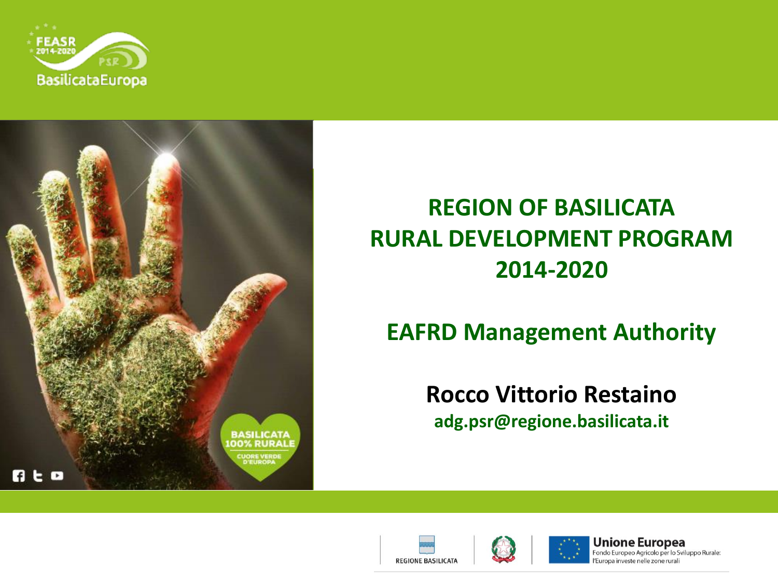



## **REGION OF BASILICATA RURAL DEVELOPMENT PROGRAM 2014-2020**

### **EAFRD Management Authority**

# **Rocco Vittorio Restaino**

**adg.psr@regione.basilicata.it**





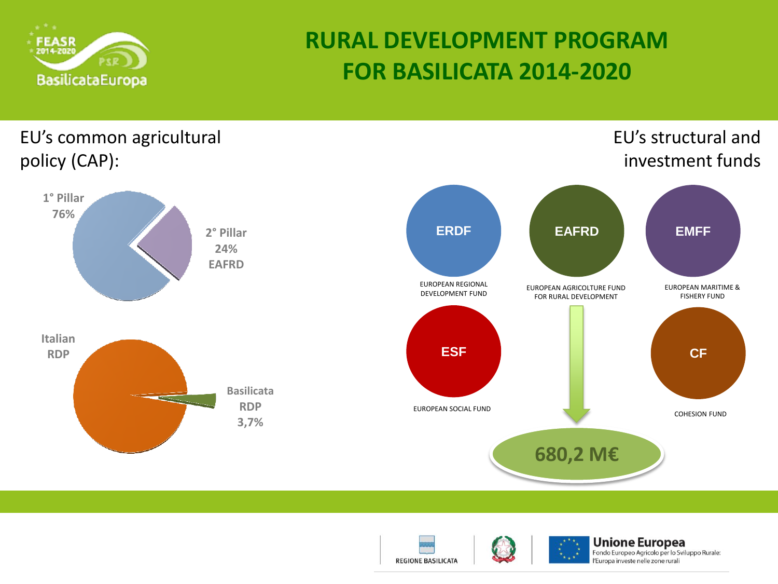





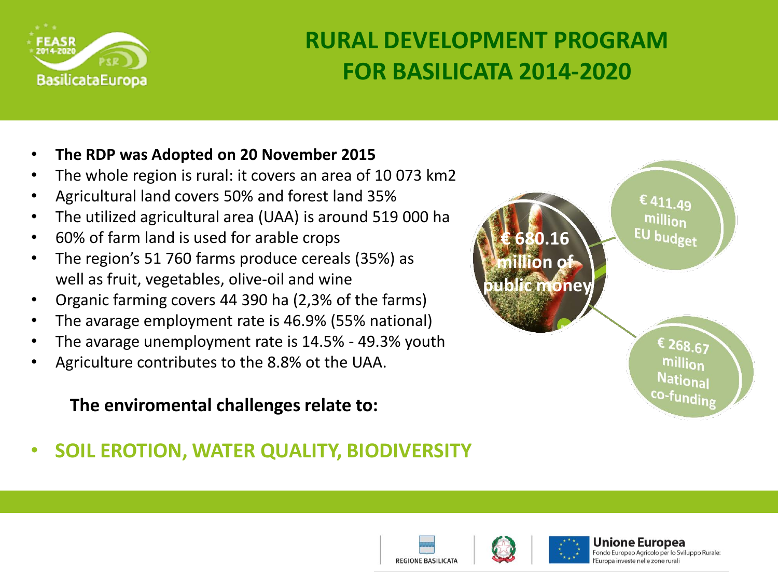

#### • **The RDP was Adopted on 20 November 2015**

- The whole region is rural: it covers an area of 10 073 km2
- Agricultural land covers 50% and forest land 35%
- The utilized agricultural area (UAA) is around 519 000 ha
- 60% of farm land is used for arable crops
- The region's 51 760 farms produce cereals (35%) as well as fruit, vegetables, olive-oil and wine
- Organic farming covers 44 390 ha (2,3% of the farms)
- The avarage employment rate is 46.9% (55% national)
- The avarage unemployment rate is 14.5% 49.3% youth
- Agriculture contributes to the 8.8% ot the UAA.

#### **The enviromental challenges relate to:**

## • **SOIL EROTION, WATER QUALITY, BIODIVERSITY**







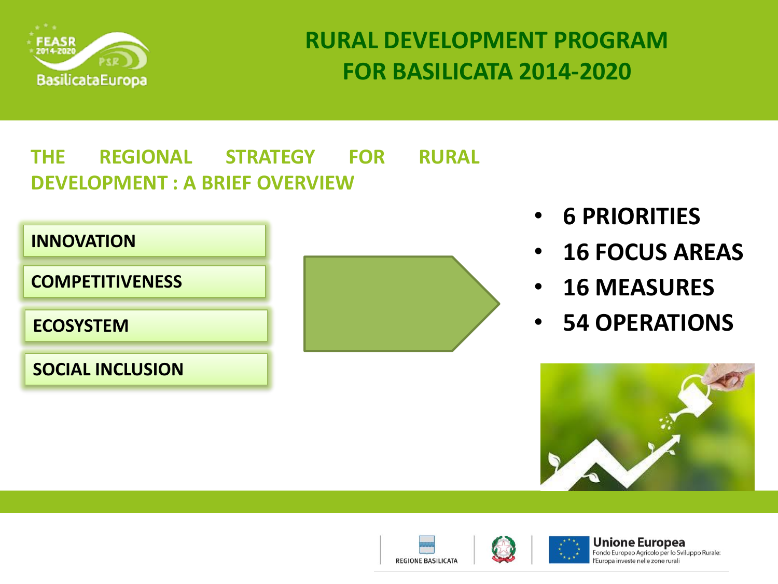

**REGIONE BASILICATA** 

### **THE REGIONAL STRATEGY FOR RURAL DEVELOPMENT : A BRIEF OVERVIEW**



- **6 PRIORITIES**
- **16 FOCUS AREAS**
- **16 MEASURES**
- **54 OPERATIONS**



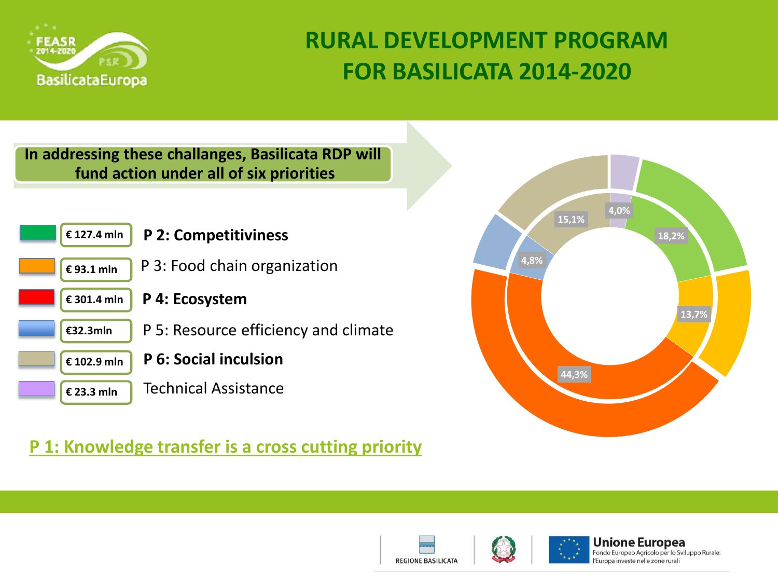

#### **In addressing these challanges, Basilicata RDP will fund action under all of six priorities**



#### **P 1: Knowledge transfer is a cross cutting priority**







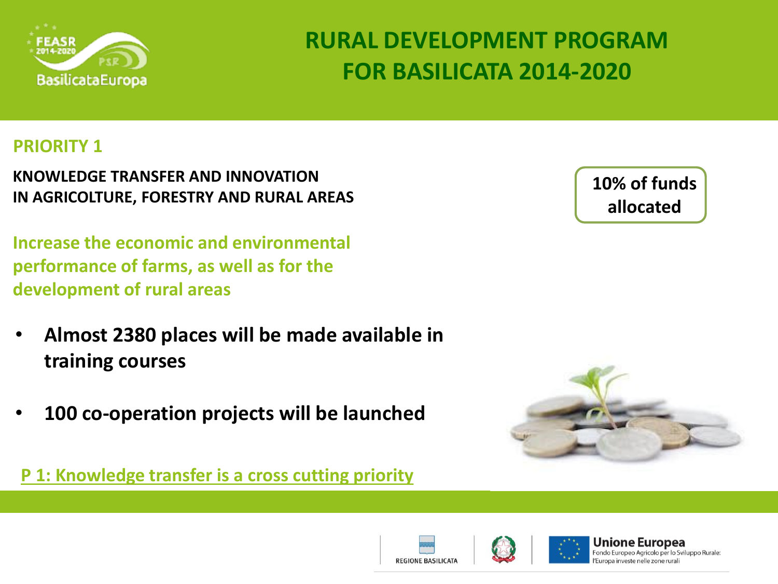

#### **PRIORITY 1**

**KNOWLEDGE TRANSFER AND INNOVATION IN AGRICOLTURE, FORESTRY AND RURAL AREAS**

**Increase the economic and environmental performance of farms, as well as for the development of rural areas** 

- **Almost 2380 places will be made available in training courses**
- **100 co-operation projects will be launched**

**P 1: Knowledge transfer is a cross cutting priority**

**10% of funds allocated**







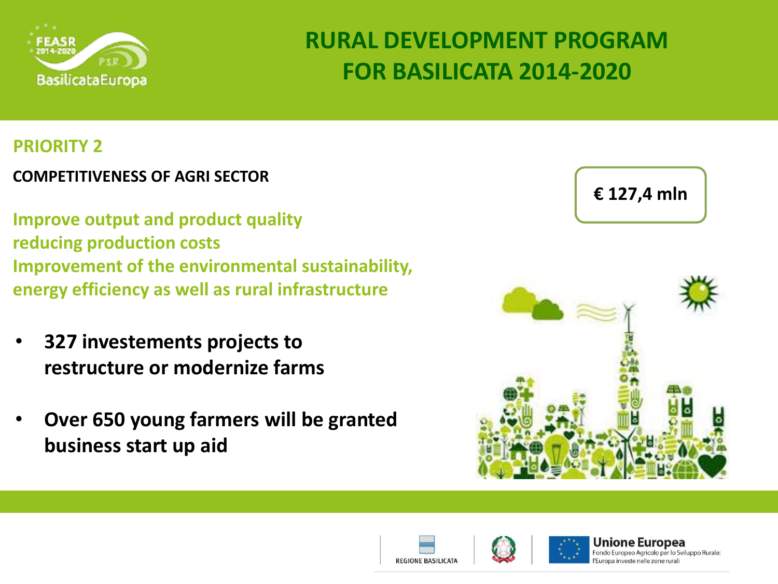

#### **PRIORITY 2**

#### **COMPETITIVENESS OF AGRI SECTOR**

**Improve output and product quality reducing production costs Improvement of the environmental sustainability, energy efficiency as well as rural infrastructure** 

- **327 investements projects to restructure or modernize farms**
- **Over 650 young farmers will be granted business start up aid**







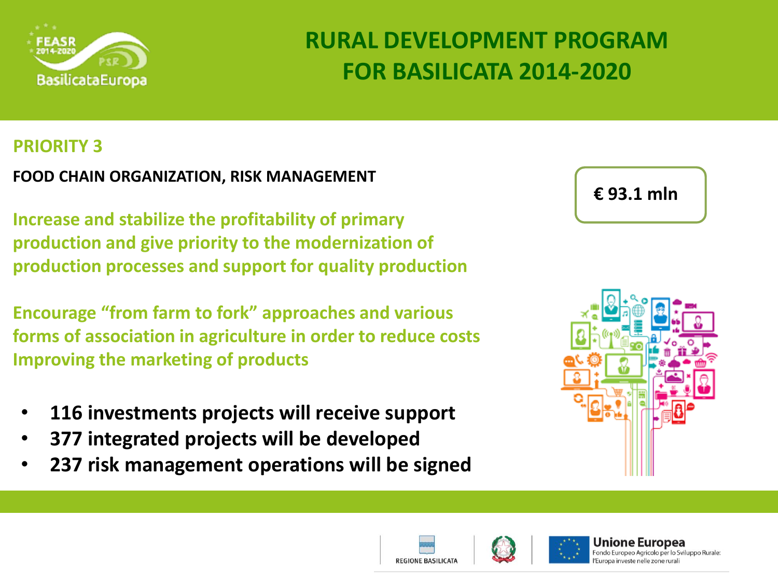

#### **PRIORITY 3**

**FOOD CHAIN ORGANIZATION, RISK MANAGEMENT**

**Increase and stabilize the profitability of primary production and give priority to the modernization of production processes and support for quality production**

**Encourage "from farm to fork" approaches and various forms of association in agriculture in order to reduce costs Improving the marketing of products** 

- **116 investments projects will receive support**
- **377 integrated projects will be developed**
- **237 risk management operations will be signed**









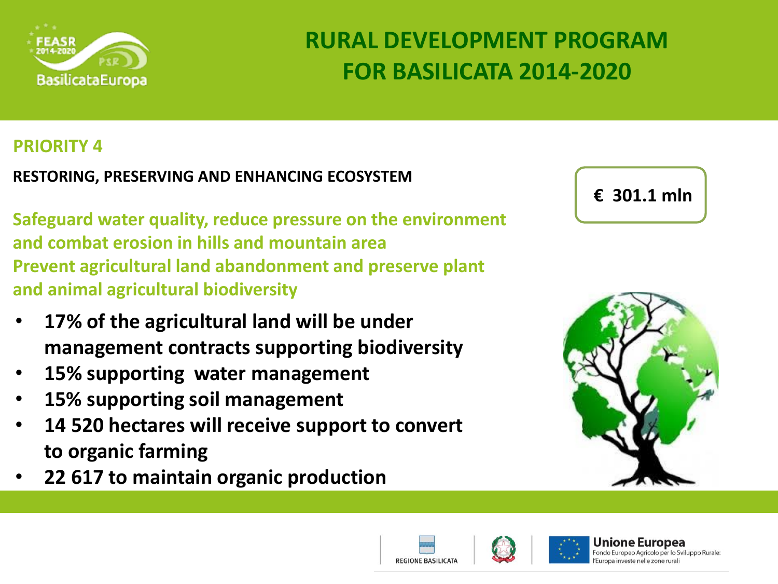

#### **PRIORITY 4**

**RESTORING, PRESERVING AND ENHANCING ECOSYSTEM**

**Safeguard water quality, reduce pressure on the environment and combat erosion in hills and mountain area Prevent agricultural land abandonment and preserve plant and animal agricultural biodiversity** 

- **17% of the agricultural land will be under management contracts supporting biodiversity**
- **15% supporting water management**
- **15% supporting soil management**
- **14 520 hectares will receive support to convert to organic farming**
- **22 617 to maintain organic production**









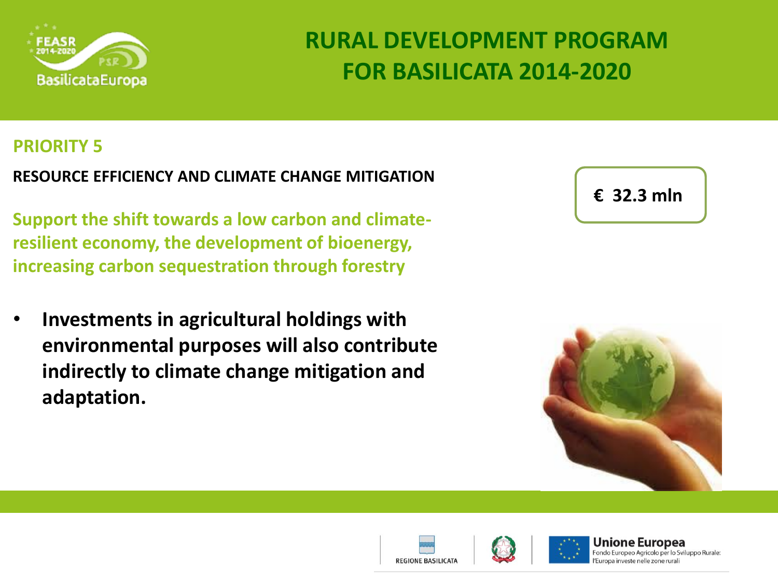

#### **PRIORITY 5**

**RESOURCE EFFICIENCY AND CLIMATE CHANGE MITIGATION**

**Support the shift towards a low carbon and climateresilient economy, the development of bioenergy, increasing carbon sequestration through forestry** 

• **Investments in agricultural holdings with environmental purposes will also contribute indirectly to climate change mitigation and adaptation.** 

| $\epsilon$ 32.3 mln |
|---------------------|
|                     |





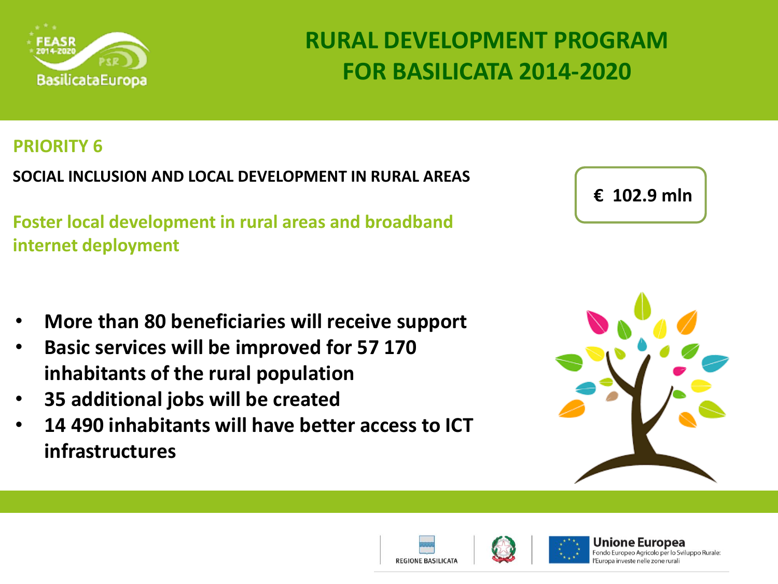

#### **PRIORITY 6**

**SOCIAL INCLUSION AND LOCAL DEVELOPMENT IN RURAL AREAS**

**Foster local development in rural areas and broadband internet deployment**

**€ 102.9 mln**

- **More than 80 beneficiaries will receive support**
- **Basic services will be improved for 57 170 inhabitants of the rural population**
- **35 additional jobs will be created**
- **14 490 inhabitants will have better access to ICT infrastructures**







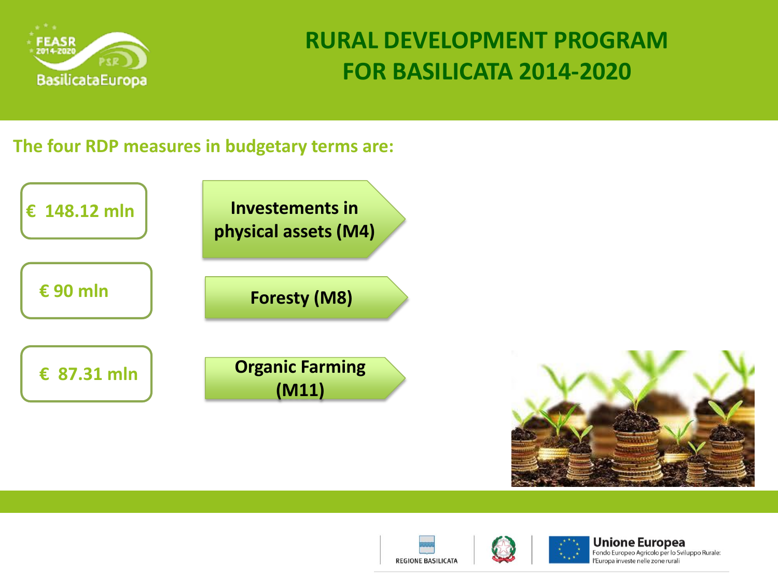

#### **The four RDP measures in budgetary terms are:**







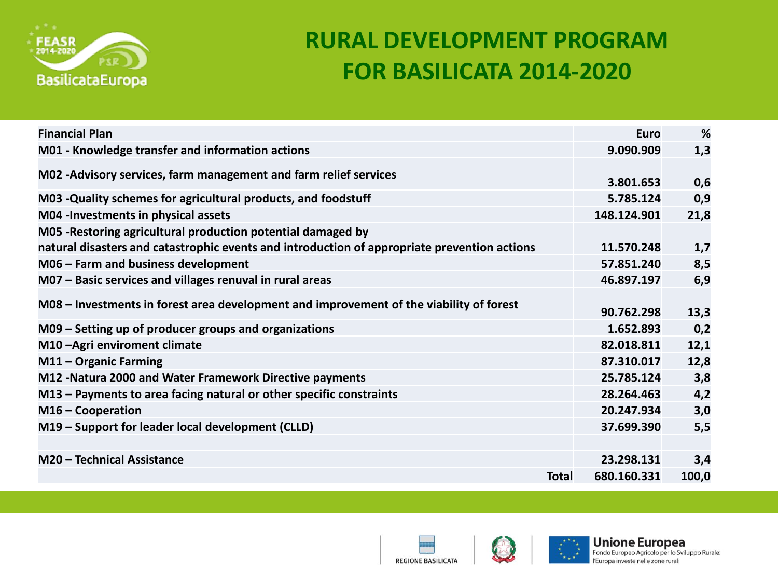

| <b>Financial Plan</b>                                                                                                                                        |       | Euro        | %     |
|--------------------------------------------------------------------------------------------------------------------------------------------------------------|-------|-------------|-------|
| M01 - Knowledge transfer and information actions                                                                                                             |       | 9.090.909   | 1,3   |
| M02 - Advisory services, farm management and farm relief services                                                                                            |       | 3.801.653   | 0,6   |
| M03 -Quality schemes for agricultural products, and foodstuff                                                                                                |       | 5.785.124   | 0,9   |
| M04 - Investments in physical assets                                                                                                                         |       | 148.124.901 | 21,8  |
| M05 - Restoring agricultural production potential damaged by<br>natural disasters and catastrophic events and introduction of appropriate prevention actions |       | 11.570.248  | 1,7   |
| M06 - Farm and business development                                                                                                                          |       | 57.851.240  | 8,5   |
| M07 - Basic services and villages renuval in rural areas                                                                                                     |       | 46.897.197  | 6,9   |
| M08 – Investments in forest area development and improvement of the viability of forest                                                                      |       | 90.762.298  | 13,3  |
| M09 - Setting up of producer groups and organizations                                                                                                        |       | 1.652.893   | 0,2   |
| M10-Agri enviroment climate                                                                                                                                  |       | 82.018.811  | 12,1  |
| M11 - Organic Farming                                                                                                                                        |       | 87.310.017  | 12,8  |
| M12 - Natura 2000 and Water Framework Directive payments                                                                                                     |       | 25.785.124  | 3,8   |
| M13 - Payments to area facing natural or other specific constraints                                                                                          |       | 28.264.463  | 4,2   |
| $M16$ – Cooperation                                                                                                                                          |       | 20.247.934  | 3,0   |
| M19 - Support for leader local development (CLLD)                                                                                                            |       | 37.699.390  | 5,5   |
|                                                                                                                                                              |       |             |       |
| M20 - Technical Assistance                                                                                                                                   |       | 23.298.131  | 3,4   |
|                                                                                                                                                              | Total | 680.160.331 | 100,0 |